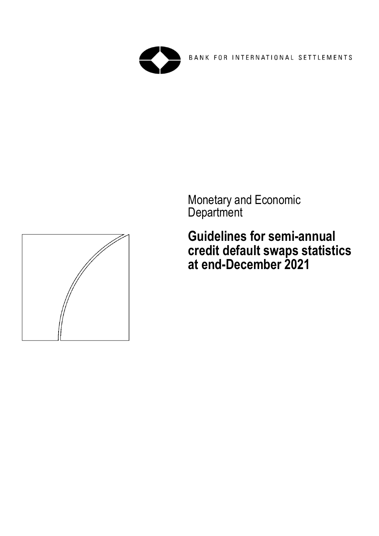

BANK FOR INTERNATIONAL SETTLEMENTS

Monetary and Economic **Department** 

**Guidelines for semi-annual credit default swaps statistics at end-December 2021**

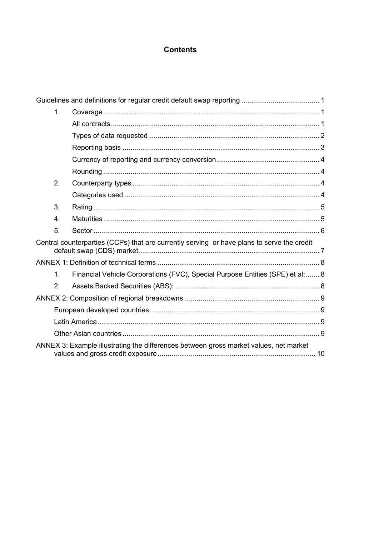## **Contents**

|                                                                                       | 1 <sub>1</sub>   |                                                                                            |  |  |  |
|---------------------------------------------------------------------------------------|------------------|--------------------------------------------------------------------------------------------|--|--|--|
|                                                                                       |                  |                                                                                            |  |  |  |
|                                                                                       |                  |                                                                                            |  |  |  |
|                                                                                       |                  |                                                                                            |  |  |  |
|                                                                                       |                  |                                                                                            |  |  |  |
|                                                                                       |                  |                                                                                            |  |  |  |
|                                                                                       | 2.               |                                                                                            |  |  |  |
|                                                                                       |                  |                                                                                            |  |  |  |
|                                                                                       | 3.               |                                                                                            |  |  |  |
|                                                                                       | $\overline{4}$ . |                                                                                            |  |  |  |
|                                                                                       | 5.               |                                                                                            |  |  |  |
|                                                                                       |                  | Central counterparties (CCPs) that are currently serving or have plans to serve the credit |  |  |  |
|                                                                                       |                  |                                                                                            |  |  |  |
|                                                                                       | 1 <sub>1</sub>   | Financial Vehicle Corporations (FVC), Special Purpose Entities (SPE) et al:  8             |  |  |  |
|                                                                                       | 2.               |                                                                                            |  |  |  |
|                                                                                       |                  |                                                                                            |  |  |  |
|                                                                                       |                  |                                                                                            |  |  |  |
|                                                                                       |                  |                                                                                            |  |  |  |
|                                                                                       |                  |                                                                                            |  |  |  |
| ANNEX 3: Example illustrating the differences between gross market values, net market |                  |                                                                                            |  |  |  |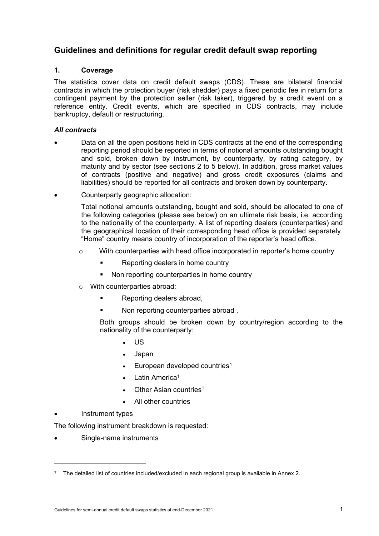# <span id="page-2-0"></span>**Guidelines and definitions for regular credit default swap reporting**

## <span id="page-2-1"></span>**1. Coverage**

The statistics cover data on credit default swaps (CDS). These are bilateral financial contracts in which the protection buyer (risk shedder) pays a fixed periodic fee in return for a contingent payment by the protection seller (risk taker), triggered by a credit event on a reference entity. Credit events, which are specified in CDS contracts, may include bankruptcy, default or restructuring.

## <span id="page-2-2"></span>*All contracts*

- Data on all the open positions held in CDS contracts at the end of the corresponding reporting period should be reported in terms of notional amounts outstanding bought and sold, broken down by instrument, by counterparty, by rating category, by maturity and by sector (see sections 2 to 5 below). In addition, gross market values of contracts (positive and negative) and gross credit exposures (claims and liabilities) should be reported for all contracts and broken down by counterparty.
- Counterparty geographic allocation:

Total notional amounts outstanding, bought and sold, should be allocated to one of the following categories (please see below) on an ultimate risk basis, i.e. according to the nationality of the counterparty. A list of reporting dealers (counterparties) and the geographical location of their corresponding head office is provided separately. "Home" country means country of incorporation of the reporter's head office.

- $\circ$  With counterparties with head office incorporated in reporter's home country
	- **Reporting dealers in home country**
	- Non reporting counterparties in home country
- o With counterparties abroad:
	- **Reporting dealers abroad.**
	- Non reporting counterparties abroad ,

Both groups should be broken down by country/region according to the nationality of the counterparty:

- US
- Japan
- European developed countries<sup>[1](#page-2-3)</sup>
- Latin America<sup>1</sup>
- Other Asian countries<sup>1</sup>
- All other countries
- Instrument types
- The following instrument breakdown is requested:
- Single-name instruments

<span id="page-2-3"></span><sup>&</sup>lt;sup>1</sup> The detailed list of countries included/excluded in each regional group is available in Annex 2.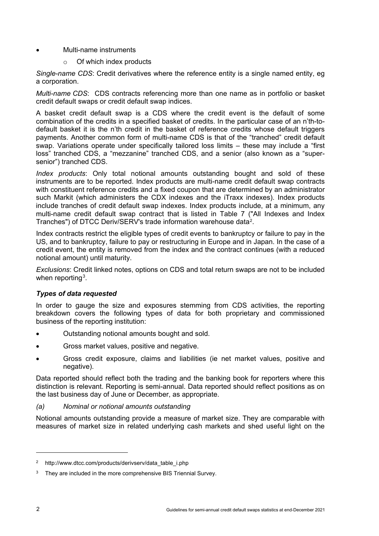### • Multi-name instruments

o Of which index products

*Single-name CDS*: Credit derivatives where the reference entity is a single named entity, eg a corporation.

*Multi-name CDS*: CDS contracts referencing more than one name as in portfolio or basket credit default swaps or credit default swap indices.

A basket credit default swap is a CDS where the credit event is the default of some combination of the credits in a specified basket of credits. In the particular case of an n'th-todefault basket it is the n'th credit in the basket of reference credits whose default triggers payments. Another common form of multi-name CDS is that of the "tranched" credit default swap. Variations operate under specifically tailored loss limits – these may include a "first loss" tranched CDS, a "mezzanine" tranched CDS, and a senior (also known as a "supersenior") tranched CDS.

*Index products*: Only total notional amounts outstanding bought and sold of these instruments are to be reported. Index products are multi-name credit default swap contracts with constituent reference credits and a fixed coupon that are determined by an administrator such Markit (which administers the CDX indexes and the iTraxx indexes). Index products include tranches of credit default swap indexes. Index products include, at a minimum, any multi-name credit default swap contract that is listed in Table 7 ("All Indexes and Index Tranches") of DTCC Deriv/SERV's trade information warehouse data[2](#page-3-1).

Index contracts restrict the eligible types of credit events to bankruptcy or failure to pay in the US, and to bankruptcy, failure to pay or restructuring in Europe and in Japan. In the case of a credit event, the entity is removed from the index and the contract continues (with a reduced notional amount) until maturity.

*Exclusions*: Credit linked notes, options on CDS and total return swaps are not to be included when reporting<sup>3</sup>.

## <span id="page-3-0"></span>*Types of data requested*

In order to gauge the size and exposures stemming from CDS activities, the reporting breakdown covers the following types of data for both proprietary and commissioned business of the reporting institution:

- Outstanding notional amounts bought and sold.
- Gross market values, positive and negative.
- Gross credit exposure, claims and liabilities (ie net market values, positive and negative).

Data reported should reflect both the trading and the banking book for reporters where this distinction is relevant. Reporting is semi-annual. Data reported should reflect positions as on the last business day of June or December, as appropriate.

*(a) Nominal or notional amounts outstanding* 

Notional amounts outstanding provide a measure of market size. They are comparable with measures of market size in related underlying cash markets and shed useful light on the

<span id="page-3-1"></span><sup>&</sup>lt;sup>2</sup> http://www.dtcc.com/products/derivserv/data\_table\_i.php

<span id="page-3-2"></span> $3$  They are included in the more comprehensive BIS Triennial Survey.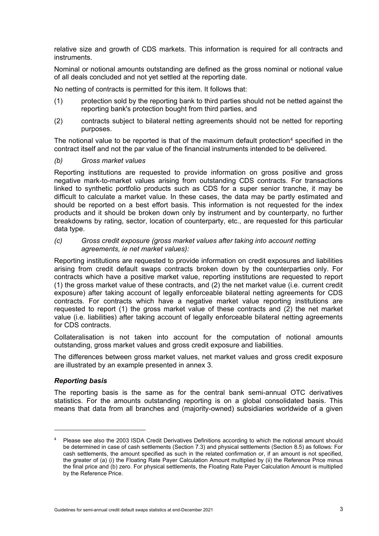relative size and growth of CDS markets. This information is required for all contracts and instruments.

Nominal or notional amounts outstanding are defined as the gross nominal or notional value of all deals concluded and not yet settled at the reporting date.

No netting of contracts is permitted for this item. It follows that:

- (1) protection sold by the reporting bank to third parties should not be netted against the reporting bank's protection bought from third parties, and
- (2) contracts subject to bilateral netting agreements should not be netted for reporting purposes.

The notional value to be reported is that of the maximum default protection<sup>[4](#page-4-1)</sup> specified in the contract itself and not the par value of the financial instruments intended to be delivered.

### *(b) Gross market values*

Reporting institutions are requested to provide information on gross positive and gross negative mark-to-market values arising from outstanding CDS contracts. For transactions linked to synthetic portfolio products such as CDS for a super senior tranche, it may be difficult to calculate a market value. In these cases, the data may be partly estimated and should be reported on a best effort basis. This information is not requested for the index products and it should be broken down only by instrument and by counterparty, no further breakdowns by rating, sector, location of counterparty, etc., are requested for this particular data type.

### *(c) Gross credit exposure (gross market values after taking into account netting agreements, ie net market values):*

Reporting institutions are requested to provide information on credit exposures and liabilities arising from credit default swaps contracts broken down by the counterparties only. For contracts which have a positive market value, reporting institutions are requested to report (1) the gross market value of these contracts, and (2) the net market value (i.e. current credit exposure) after taking account of legally enforceable bilateral netting agreements for CDS contracts. For contracts which have a negative market value reporting institutions are requested to report (1) the gross market value of these contracts and (2) the net market value (i.e. liabilities) after taking account of legally enforceable bilateral netting agreements for CDS contracts.

Collateralisation is not taken into account for the computation of notional amounts outstanding, gross market values and gross credit exposure and liabilities.

The differences between gross market values, net market values and gross credit exposure are illustrated by an example presented in annex 3.

## <span id="page-4-0"></span>*Reporting basis*

The reporting basis is the same as for the central bank semi-annual OTC derivatives statistics. For the amounts outstanding reporting is on a global consolidated basis. This means that data from all branches and (majority-owned) subsidiaries worldwide of a given

<span id="page-4-1"></span><sup>4</sup> Please see also the 2003 ISDA Credit Derivatives Definitions according to which the notional amount should be determined in case of cash settlements (Section 7.3) and physical settlements (Section 8.5) as follows: For cash settlements, the amount specified as such in the related confirmation or, if an amount is not specified, the greater of (a) (i) the Floating Rate Payer Calculation Amount multiplied by (ii) the Reference Price minus the final price and (b) zero. For physical settlements, the Floating Rate Payer Calculation Amount is multiplied by the Reference Price.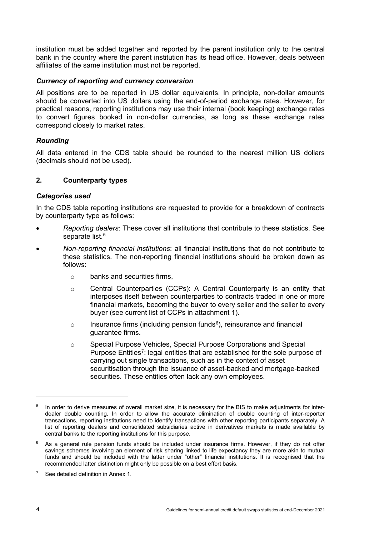institution must be added together and reported by the parent institution only to the central bank in the country where the parent institution has its head office. However, deals between affiliates of the same institution must not be reported.

## <span id="page-5-0"></span>*Currency of reporting and currency conversion*

All positions are to be reported in US dollar equivalents. In principle, non-dollar amounts should be converted into US dollars using the end-of-period exchange rates. However, for practical reasons, reporting institutions may use their internal (book keeping) exchange rates to convert figures booked in non-dollar currencies, as long as these exchange rates correspond closely to market rates.

## <span id="page-5-1"></span>*Rounding*

All data entered in the CDS table should be rounded to the nearest million US dollars (decimals should not be used).

## <span id="page-5-2"></span>**2. Counterparty types**

### <span id="page-5-3"></span>*Categories used*

In the CDS table reporting institutions are requested to provide for a breakdown of contracts by counterparty type as follows:

- *Reporting dealers*: These cover all institutions that contribute to these statistics. See separate list.<sup>[5](#page-5-4)</sup>
- *Non-reporting financial institutions*: all financial institutions that do not contribute to these statistics. The non-reporting financial institutions should be broken down as follows:
	- o banks and securities firms,
	- o Central Counterparties (CCPs): A Central Counterparty is an entity that interposes itself between counterparties to contracts traded in one or more financial markets, becoming the buyer to every seller and the seller to every buyer (see current list of CCPs in attachment 1).
	- $\circ$  Insurance firms (including pension funds<sup>[6](#page-5-5)</sup>), reinsurance and financial guarantee firms.
	- o Special Purpose Vehicles, Special Purpose Corporations and Special Purpose Entities<sup>[7](#page-5-6)</sup>: legal entities that are established for the sole purpose of carrying out single transactions, such as in the context of asset securitisation through the issuance of asset-backed and mortgage-backed securities. These entities often lack any own employees.

<span id="page-5-4"></span>In order to derive measures of overall market size, it is necessary for the BIS to make adjustments for interdealer double counting. In order to allow the accurate elimination of double counting of inter-reporter transactions, reporting institutions need to identify transactions with other reporting participants separately. A list of reporting dealers and consolidated subsidiaries active in derivatives markets is made available by central banks to the reporting institutions for this purpose.

<span id="page-5-5"></span> $6$  As a general rule pension funds should be included under insurance firms. However, if they do not offer savings schemes involving an element of risk sharing linked to life expectancy they are more akin to mutual funds and should be included with the latter under "other" financial institutions. It is recognised that the recommended latter distinction might only be possible on a best effort basis.

<span id="page-5-6"></span><sup>&</sup>lt;sup>7</sup> See detailed definition in Annex 1.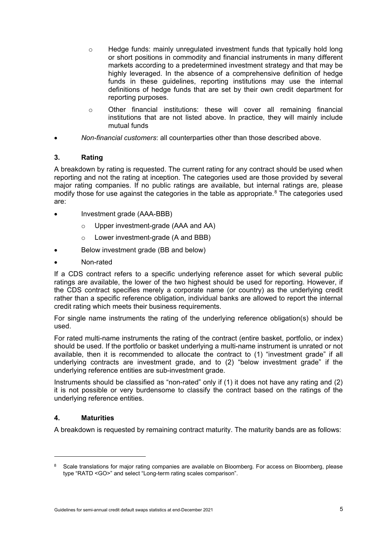- o Hedge funds: mainly unregulated investment funds that typically hold long or short positions in commodity and financial instruments in many different markets according to a predetermined investment strategy and that may be highly leveraged. In the absence of a comprehensive definition of hedge funds in these guidelines, reporting institutions may use the internal definitions of hedge funds that are set by their own credit department for reporting purposes.
- $\circ$  Other financial institutions: these will cover all remaining financial institutions that are not listed above. In practice, they will mainly include mutual funds
- *Non-financial customers*: all counterparties other than those described above.

## <span id="page-6-0"></span>**3. Rating**

A breakdown by rating is requested. The current rating for any contract should be used when reporting and not the rating at inception. The categories used are those provided by several major rating companies. If no public ratings are available, but internal ratings are, please modify those for use against the categories in the table as appropriate.<sup>[8](#page-6-2)</sup> The categories used are:

- Investment grade (AAA-BBB)
	- o Upper investment-grade (AAA and AA)
	- o Lower investment-grade (A and BBB)
- Below investment grade (BB and below)
- Non-rated

If a CDS contract refers to a specific underlying reference asset for which several public ratings are available, the lower of the two highest should be used for reporting. However, if the CDS contract specifies merely a corporate name (or country) as the underlying credit rather than a specific reference obligation, individual banks are allowed to report the internal credit rating which meets their business requirements.

For single name instruments the rating of the underlying reference obligation(s) should be used.

For rated multi-name instruments the rating of the contract (entire basket, portfolio, or index) should be used. If the portfolio or basket underlying a multi-name instrument is unrated or not available, then it is recommended to allocate the contract to (1) "investment grade" if all underlying contracts are investment grade, and to (2) "below investment grade" if the underlying reference entities are sub-investment grade.

Instruments should be classified as "non-rated" only if (1) it does not have any rating and (2) it is not possible or very burdensome to classify the contract based on the ratings of the underlying reference entities.

## <span id="page-6-1"></span>**4. Maturities**

A breakdown is requested by remaining contract maturity. The maturity bands are as follows:

<span id="page-6-2"></span><sup>&</sup>lt;sup>8</sup> Scale translations for major rating companies are available on Bloomberg. For access on Bloomberg, please type "RATD <GO>" and select "Long-term rating scales comparison".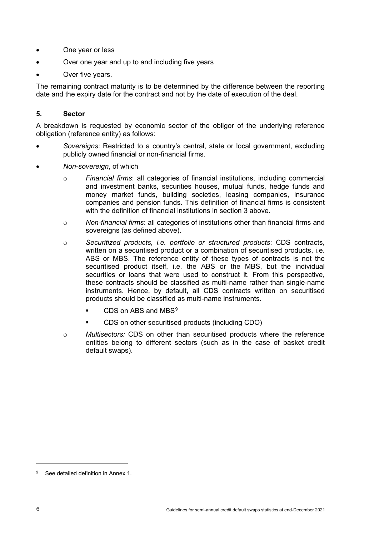- One year or less
- Over one year and up to and including five years
- Over five years.

The remaining contract maturity is to be determined by the difference between the reporting date and the expiry date for the contract and not by the date of execution of the deal.

### <span id="page-7-0"></span>**5. Sector**

A breakdown is requested by economic sector of the obligor of the underlying reference obligation (reference entity) as follows:

- *Sovereigns*: Restricted to a country's central, state or local government, excluding publicly owned financial or non-financial firms.
- *Non*-*sovereign*, of which
	- o *Financial firms*: all categories of financial institutions, including commercial and investment banks, securities houses, mutual funds, hedge funds and money market funds, building societies, leasing companies, insurance companies and pension funds. This definition of financial firms is consistent with the definition of financial institutions in section 3 above.
	- o *Non-financial firms*: all categories of institutions other than financial firms and sovereigns (as defined above).
	- o *Securitized products, i.e. portfolio or structured products*: CDS contracts, written on a securitised product or a combination of securitised products, i.e. ABS or MBS. The reference entity of these types of contracts is not the securitised product itself, i.e. the ABS or the MBS, but the individual securities or loans that were used to construct it. From this perspective, these contracts should be classified as multi-name rather than single-name instruments. Hence, by default, all CDS contracts written on securitised products should be classified as multi-name instruments.
		- CDS on ABS and MBS<sup>[9](#page-7-1)</sup>
		- CDS on other securitised products (including CDO)
	- o *Multisectors:* CDS on other than securitised products where the reference entities belong to different sectors (such as in the case of basket credit default swaps).

<span id="page-7-1"></span><sup>9</sup> See detailed definition in Annex 1.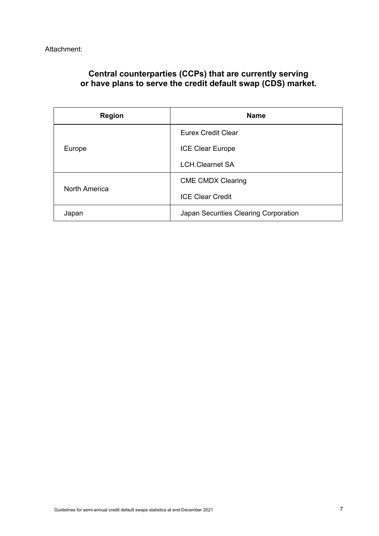# <span id="page-8-0"></span>**Central counterparties (CCPs) that are currently serving or have plans to serve the credit default swap (CDS) market.**

| <b>Region</b> | <b>Name</b>                           |  |  |  |  |
|---------------|---------------------------------------|--|--|--|--|
|               | Eurex Credit Clear                    |  |  |  |  |
| Europe        | <b>ICE Clear Europe</b>               |  |  |  |  |
|               | <b>LCH.Clearnet SA</b>                |  |  |  |  |
|               | <b>CME CMDX Clearing</b>              |  |  |  |  |
| North America | <b>ICE Clear Credit</b>               |  |  |  |  |
| Japan         | Japan Securities Clearing Corporation |  |  |  |  |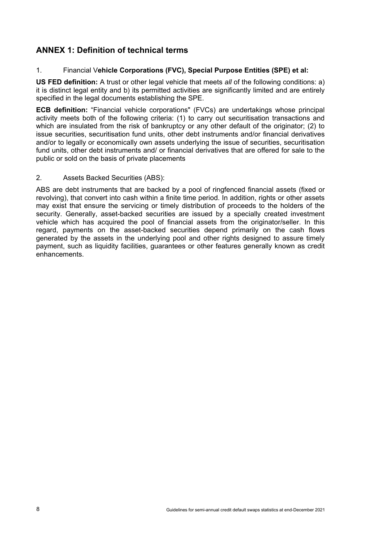# <span id="page-9-0"></span>**ANNEX 1: Definition of technical terms**

## <span id="page-9-1"></span>1. Financial V**ehicle Corporations (FVC), Special Purpose Entities (SPE) et al:**

**US FED definition:** A trust or other legal vehicle that meets *all* of the following conditions: a) it is distinct legal entity and b) its permitted activities are significantly limited and are entirely specified in the legal documents establishing the SPE.

**ECB definition:** "Financial vehicle corporations" (FVCs) are undertakings whose principal activity meets both of the following criteria: (1) to carry out securitisation transactions and which are insulated from the risk of bankruptcy or any other default of the originator; (2) to issue securities, securitisation fund units, other debt instruments and/or financial derivatives and/or to legally or economically own assets underlying the issue of securities, securitisation fund units, other debt instruments and/ or financial derivatives that are offered for sale to the public or sold on the basis of private placements

## <span id="page-9-2"></span>2. Assets Backed Securities (ABS):

ABS are debt instruments that are backed by a pool of ringfenced financial assets (fixed or revolving), that convert into cash within a finite time period. In addition, rights or other assets may exist that ensure the servicing or timely distribution of proceeds to the holders of the security. Generally, asset-backed securities are issued by a specially created investment vehicle which has acquired the pool of financial assets from the originator/seller. In this regard, payments on the asset-backed securities depend primarily on the cash flows generated by the assets in the underlying pool and other rights designed to assure timely payment, such as liquidity facilities, guarantees or other features generally known as credit enhancements.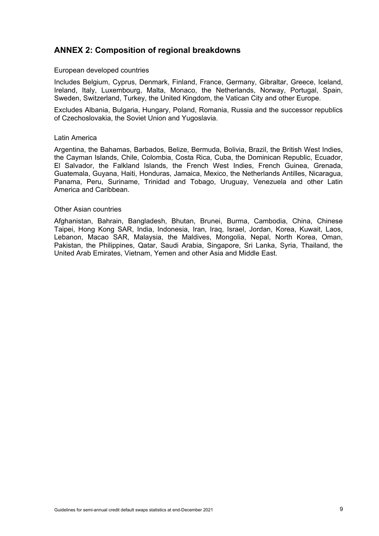# <span id="page-10-0"></span>**ANNEX 2: Composition of regional breakdowns**

#### <span id="page-10-1"></span>European developed countries

Includes Belgium, Cyprus, Denmark, Finland, France, Germany, Gibraltar, Greece, Iceland, Ireland, Italy, Luxembourg, Malta, Monaco, the Netherlands, Norway, Portugal, Spain, Sweden, Switzerland, Turkey, the United Kingdom, the Vatican City and other Europe.

Excludes Albania, Bulgaria, Hungary, Poland, Romania, Russia and the successor republics of Czechoslovakia, the Soviet Union and Yugoslavia.

#### <span id="page-10-2"></span>Latin America

Argentina, the Bahamas, Barbados, Belize, Bermuda, Bolivia, Brazil, the British West Indies, the Cayman Islands, Chile, Colombia, Costa Rica, Cuba, the Dominican Republic, Ecuador, El Salvador, the Falkland Islands, the French West Indies, French Guinea, Grenada, Guatemala, Guyana, Haiti, Honduras, Jamaica, Mexico, the Netherlands Antilles, Nicaragua, Panama, Peru, Suriname, Trinidad and Tobago, Uruguay, Venezuela and other Latin America and Caribbean.

#### <span id="page-10-3"></span>Other Asian countries

Afghanistan, Bahrain, Bangladesh, Bhutan, Brunei, Burma, Cambodia, China, Chinese Taipei, Hong Kong SAR, India, Indonesia, Iran, Iraq, Israel, Jordan, Korea, Kuwait, Laos, Lebanon, Macao SAR, Malaysia, the Maldives, Mongolia, Nepal, North Korea, Oman, Pakistan, the Philippines, Qatar, Saudi Arabia, Singapore, Sri Lanka, Syria, Thailand, the United Arab Emirates, Vietnam, Yemen and other Asia and Middle East.